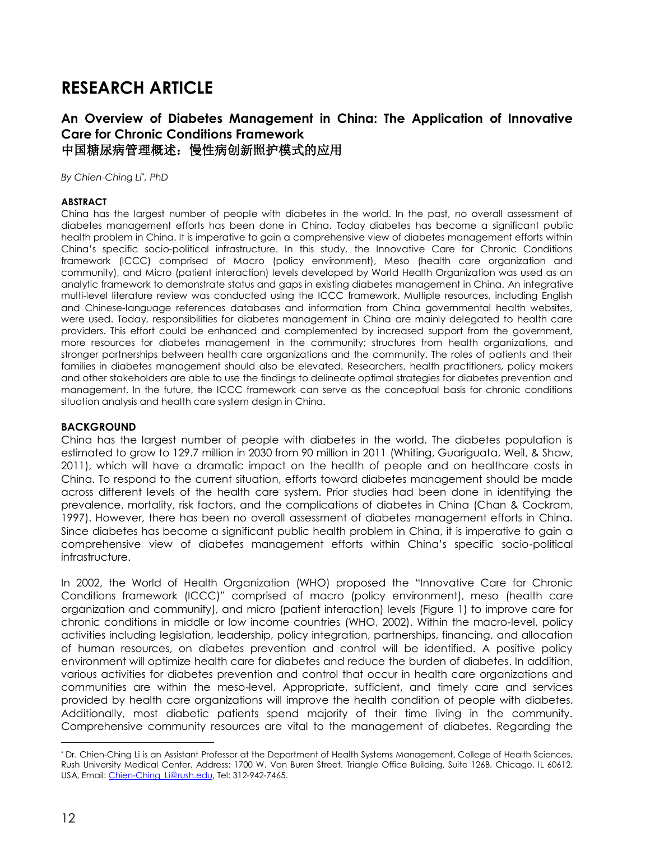# **RESEARCH ARTICLE**

## **An Overview of Diabetes Management in China: The Application of Innovative Care for Chronic Conditions Framework** 中国糖尿病管理概述:慢性病创新照护模式的应用

*By Chien-Ching Li*\* *, PhD*

#### **ABSTRACT**

China has the largest number of people with diabetes in the world. In the past, no overall assessment of diabetes management efforts has been done in China. Today diabetes has become a significant public health problem in China. It is imperative to gain a comprehensive view of diabetes management efforts within China's specific socio-political infrastructure. In this study, the Innovative Care for Chronic Conditions framework (ICCC) comprised of Macro (policy environment), Meso (health care organization and community), and Micro (patient interaction) levels developed by World Health Organization was used as an analytic framework to demonstrate status and gaps in existing diabetes management in China. An integrative multi-level literature review was conducted using the ICCC framework. Multiple resources, including English and Chinese-language references databases and information from China governmental health websites, were used. Today, responsibilities for diabetes management in China are mainly delegated to health care providers. This effort could be enhanced and complemented by increased support from the government, more resources for diabetes management in the community; structures from health organizations, and stronger partnerships between health care organizations and the community. The roles of patients and their families in diabetes management should also be elevated. Researchers, health practitioners, policy makers and other stakeholders are able to use the findings to delineate optimal strategies for diabetes prevention and management. In the future, the ICCC framework can serve as the conceptual basis for chronic conditions situation analysis and health care system design in China.

#### **BACKGROUND**

China has the largest number of people with diabetes in the world. The diabetes population is estimated to grow to 129.7 million in 2030 from 90 million in 2011 (Whiting, Guariguata, Weil, & Shaw, 2011), which will have a dramatic impact on the health of people and on healthcare costs in China. To respond to the current situation, efforts toward diabetes management should be made across different levels of the health care system. Prior studies had been done in identifying the prevalence, mortality, risk factors, and the complications of diabetes in China (Chan & Cockram, 1997). However, there has been no overall assessment of diabetes management efforts in China. Since diabetes has become a significant public health problem in China, it is imperative to gain a comprehensive view of diabetes management efforts within China's specific socio-political infrastructure.

In 2002, the World of Health Organization (WHO) proposed the "Innovative Care for Chronic Conditions framework (ICCC)" comprised of macro (policy environment), meso (health care organization and community), and micro (patient interaction) levels (Figure 1) to improve care for chronic conditions in middle or low income countries (WHO, 2002). Within the macro-level, policy activities including legislation, leadership, policy integration, partnerships, financing, and allocation of human resources, on diabetes prevention and control will be identified. A positive policy environment will optimize health care for diabetes and reduce the burden of diabetes. In addition, various activities for diabetes prevention and control that occur in health care organizations and communities are within the meso-level. Appropriate, sufficient, and timely care and services provided by health care organizations will improve the health condition of people with diabetes. Additionally, most diabetic patients spend majority of their time living in the community. Comprehensive community resources are vital to the management of diabetes. Regarding the

l

*<sup>\*</sup>* Dr. Chien-Ching Li is an Assistant Professor at the Department of Health Systems Management, College of Health Sciences, Rush University Medical Center. Address: 1700 W. Van Buren Street, Triangle Office Building, Suite 126B, Chicago, IL 60612, USA, Email: Chien-Ching Li@rush.edu, Tel: 312-942-7465.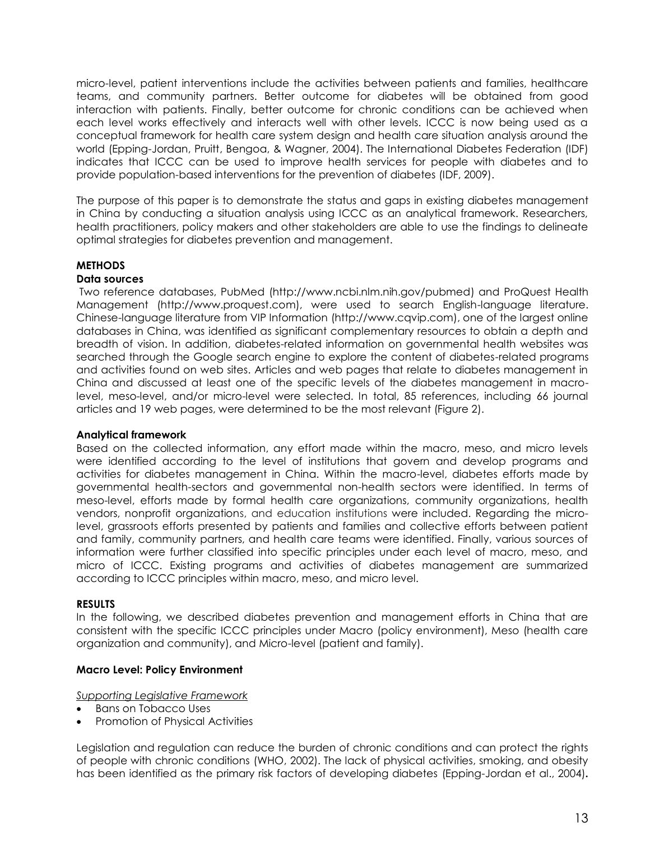micro-level, patient interventions include the activities between patients and families, healthcare teams, and community partners. Better outcome for diabetes will be obtained from good interaction with patients. Finally, better outcome for chronic conditions can be achieved when each level works effectively and interacts well with other levels. ICCC is now being used as a conceptual framework for health care system design and health care situation analysis around the world (Epping-Jordan, Pruitt, Bengoa, & Wagner, 2004). The International Diabetes Federation (IDF) indicates that ICCC can be used to improve health services for people with diabetes and to provide population-based interventions for the prevention of diabetes (IDF, 2009).

The purpose of this paper is to demonstrate the status and gaps in existing diabetes management in China by conducting a situation analysis using ICCC as an analytical framework. Researchers, health practitioners, policy makers and other stakeholders are able to use the findings to delineate optimal strategies for diabetes prevention and management.

## **METHODS**

#### **Data sources**

Two reference databases, PubMed (http://www.ncbi.nlm.nih.gov/pubmed) and ProQuest Health Management (http://www.proquest.com), were used to search English-language literature. Chinese-language literature from VIP Information (http://www.cqvip.com), one of the largest online databases in China, was identified as significant complementary resources to obtain a depth and breadth of vision. In addition, diabetes-related information on governmental health websites was searched through the Google search engine to explore the content of diabetes-related programs and activities found on web sites. Articles and web pages that relate to diabetes management in China and discussed at least one of the specific levels of the diabetes management in macrolevel, meso-level, and/or micro-level were selected. In total, 85 references, including 66 journal articles and 19 web pages, were determined to be the most relevant (Figure 2).

#### **Analytical framework**

Based on the collected information, any effort made within the macro, meso, and micro levels were identified according to the level of institutions that govern and develop programs and activities for diabetes management in China. Within the macro-level, diabetes efforts made by governmental health-sectors and governmental non-health sectors were identified. In terms of meso-level, efforts made by formal health care organizations, community organizations, health vendors, nonprofit organizations, and education institutions were included. Regarding the microlevel, grassroots efforts presented by patients and families and collective efforts between patient and family, community partners, and health care teams were identified. Finally, various sources of information were further classified into specific principles under each level of macro, meso, and micro of ICCC. Existing programs and activities of diabetes management are summarized according to ICCC principles within macro, meso, and micro level.

#### **RESULTS**

In the following, we described diabetes prevention and management efforts in China that are consistent with the specific ICCC principles under Macro (policy environment), Meso (health care organization and community), and Micro-level (patient and family).

#### **Macro Level: Policy Environment**

*Supporting Legislative Framework*

- Bans on Tobacco Uses
- Promotion of Physical Activities

Legislation and regulation can reduce the burden of chronic conditions and can protect the rights of people with chronic conditions (WHO, 2002). The lack of physical activities, smoking, and obesity has been identified as the primary risk factors of developing diabetes (Epping-Jordan et al., 2004)**.**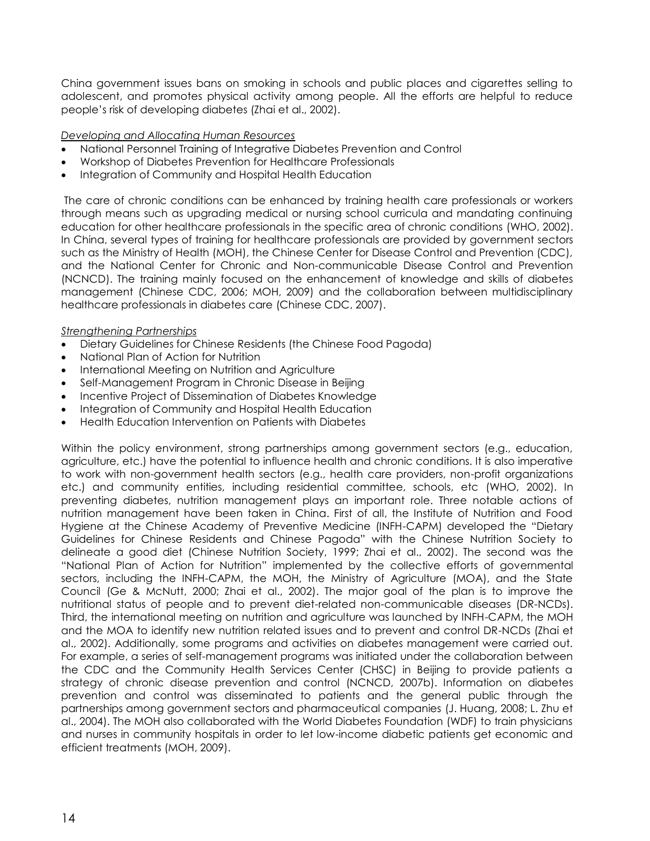China government issues bans on smoking in schools and public places and cigarettes selling to adolescent, and promotes physical activity among people. All the efforts are helpful to reduce people's risk of developing diabetes (Zhai et al., 2002).

#### *Developing and Allocating Human Resources*

- National Personnel Training of Integrative Diabetes Prevention and Control
- Workshop of Diabetes Prevention for Healthcare Professionals
- Integration of Community and Hospital Health Education

The care of chronic conditions can be enhanced by training health care professionals or workers through means such as upgrading medical or nursing school curricula and mandating continuing education for other healthcare professionals in the specific area of chronic conditions (WHO, 2002). In China, several types of training for healthcare professionals are provided by government sectors such as the Ministry of Health (MOH), the Chinese Center for Disease Control and Prevention (CDC), and the National Center for Chronic and Non-communicable Disease Control and Prevention (NCNCD). The training mainly focused on the enhancement of knowledge and skills of diabetes management (Chinese CDC, 2006; MOH, 2009) and the collaboration between multidisciplinary healthcare professionals in diabetes care (Chinese CDC, 2007).

## *Strengthening Partnerships*

- Dietary Guidelines for Chinese Residents (the Chinese Food Pagoda)
- National Plan of Action for Nutrition
- International Meeting on Nutrition and Agriculture
- Self-Management Program in Chronic Disease in Beijing
- Incentive Project of Dissemination of Diabetes Knowledge
- Integration of Community and Hospital Health Education
- Health Education Intervention on Patients with Diabetes

Within the policy environment, strong partnerships among government sectors (e.g., education, agriculture, etc.) have the potential to influence health and chronic conditions. It is also imperative to work with non-government health sectors (e.g., health care providers, non-profit organizations etc.) and community entities, including residential committee, schools, etc (WHO, 2002). In preventing diabetes, nutrition management plays an important role. Three notable actions of nutrition management have been taken in China. First of all, the Institute of Nutrition and Food Hygiene at the Chinese Academy of Preventive Medicine (INFH-CAPM) developed the "Dietary Guidelines for Chinese Residents and Chinese Pagoda" with the Chinese Nutrition Society to delineate a good diet (Chinese Nutrition Society, 1999; Zhai et al., 2002). The second was the "National Plan of Action for Nutrition" implemented by the collective efforts of governmental sectors, including the INFH-CAPM, the MOH, the Ministry of Agriculture (MOA), and the State Council (Ge & McNutt, 2000; Zhai et al., 2002). The major goal of the plan is to improve the nutritional status of people and to prevent diet-related non-communicable diseases (DR-NCDs). Third, the international meeting on nutrition and agriculture was launched by INFH-CAPM, the MOH and the MOA to identify new nutrition related issues and to prevent and control DR-NCDs (Zhai et al., 2002). Additionally, some programs and activities on diabetes management were carried out. For example, a series of self-management programs was initiated under the collaboration between the CDC and the Community Health Services Center (CHSC) in Beijing to provide patients a strategy of chronic disease prevention and control (NCNCD, 2007b). Information on diabetes prevention and control was disseminated to patients and the general public through the partnerships among government sectors and pharmaceutical companies (J. Huang, 2008; L. Zhu et al., 2004). The MOH also collaborated with the World Diabetes Foundation (WDF) to train physicians and nurses in community hospitals in order to let low-income diabetic patients get economic and efficient treatments (MOH, 2009).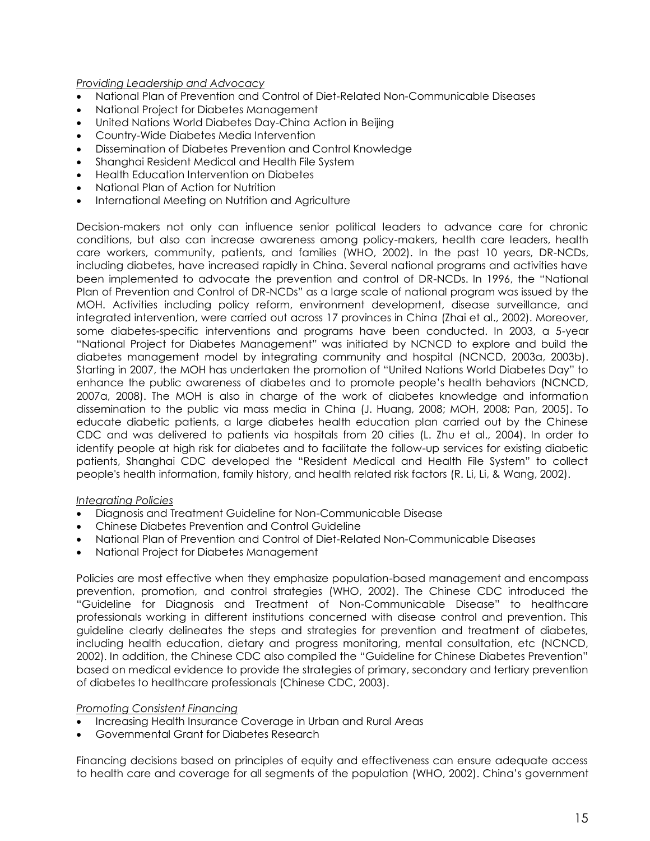*Providing Leadership and Advocacy*

- National Plan of Prevention and Control of Diet-Related Non-Communicable Diseases
- National Project for Diabetes Management
- United Nations World Diabetes Day-China Action in Beijing
- Country-Wide Diabetes Media Intervention
- Dissemination of Diabetes Prevention and Control Knowledge
- Shanghai Resident Medical and Health File System
- Health Education Intervention on Diabetes
- National Plan of Action for Nutrition
- International Meeting on Nutrition and Agriculture

Decision-makers not only can influence senior political leaders to advance care for chronic conditions, but also can increase awareness among policy-makers, health care leaders, health care workers, community, patients, and families (WHO, 2002). In the past 10 years, DR-NCDs, including diabetes, have increased rapidly in China. Several national programs and activities have been implemented to advocate the prevention and control of DR-NCDs. In 1996, the "National Plan of Prevention and Control of DR-NCDs" as a large scale of national program was issued by the MOH. Activities including policy reform, environment development, disease surveillance, and integrated intervention, were carried out across 17 provinces in China (Zhai et al., 2002). Moreover, some diabetes-specific interventions and programs have been conducted. In 2003, a 5-year "National Project for Diabetes Management" was initiated by NCNCD to explore and build the diabetes management model by integrating community and hospital (NCNCD, 2003a, 2003b). Starting in 2007, the MOH has undertaken the promotion of "United Nations World Diabetes Day" to enhance the public awareness of diabetes and to promote people's health behaviors (NCNCD, 2007a, 2008). The MOH is also in charge of the work of diabetes knowledge and information dissemination to the public via mass media in China (J. Huang, 2008; MOH, 2008; Pan, 2005). To educate diabetic patients, a large diabetes health education plan carried out by the Chinese CDC and was delivered to patients via hospitals from 20 cities (L. Zhu et al., 2004). In order to identify people at high risk for diabetes and to facilitate the follow-up services for existing diabetic patients, Shanghai CDC developed the "Resident Medical and Health File System" to collect people's health information, family history, and health related risk factors (R. Li, Li, & Wang, 2002).

#### *Integrating Policies*

- Diagnosis and Treatment Guideline for Non-Communicable Disease
- Chinese Diabetes Prevention and Control Guideline
- National Plan of Prevention and Control of Diet-Related Non-Communicable Diseases
- National Project for Diabetes Management

Policies are most effective when they emphasize population-based management and encompass prevention, promotion, and control strategies (WHO, 2002). The Chinese CDC introduced the "Guideline for Diagnosis and Treatment of Non-Communicable Disease" to healthcare professionals working in different institutions concerned with disease control and prevention. This guideline clearly delineates the steps and strategies for prevention and treatment of diabetes, including health education, dietary and progress monitoring, mental consultation, etc (NCNCD, 2002). In addition, the Chinese CDC also compiled the "Guideline for Chinese Diabetes Prevention" based on medical evidence to provide the strategies of primary, secondary and tertiary prevention of diabetes to healthcare professionals (Chinese CDC, 2003).

#### *Promoting Consistent Financing*

- Increasing Health Insurance Coverage in Urban and Rural Areas
- Governmental Grant for Diabetes Research

Financing decisions based on principles of equity and effectiveness can ensure adequate access to health care and coverage for all segments of the population (WHO, 2002). China's government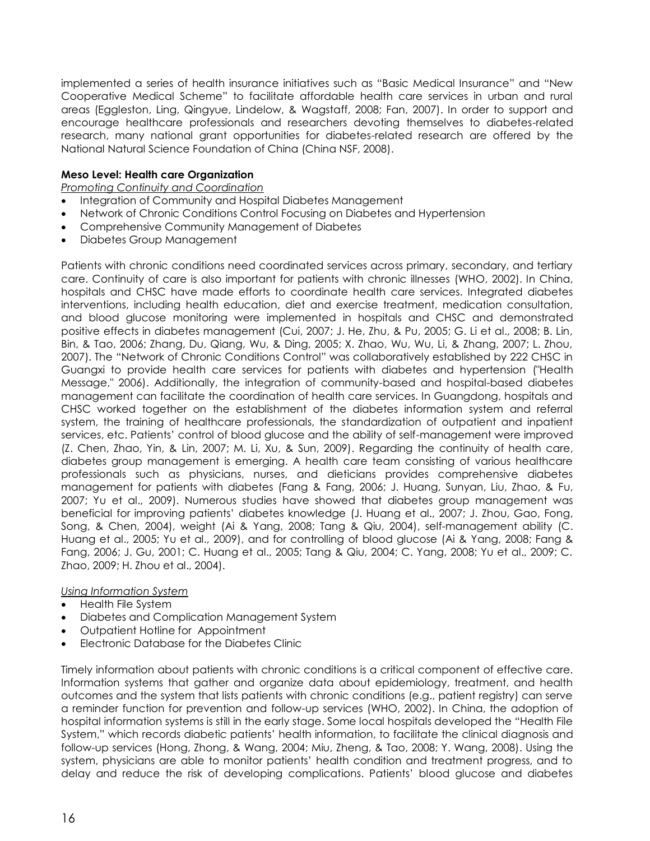implemented a series of health insurance initiatives such as "Basic Medical Insurance" and "New Cooperative Medical Scheme" to facilitate affordable health care services in urban and rural areas (Eggleston, Ling, Qingyue, Lindelow, & Wagstaff, 2008; Fan, 2007). In order to support and encourage healthcare professionals and researchers devoting themselves to diabetes-related research, many national grant opportunities for diabetes-related research are offered by the National Natural Science Foundation of China (China NSF, 2008).

#### **Meso Level: Health care Organization**

*Promoting Continuity and Coordination*

- Integration of Community and Hospital Diabetes Management
- Network of Chronic Conditions Control Focusing on Diabetes and Hypertension
- Comprehensive Community Management of Diabetes
- Diabetes Group Management

Patients with chronic conditions need coordinated services across primary, secondary, and tertiary care. Continuity of care is also important for patients with chronic illnesses (WHO, 2002). In China, hospitals and CHSC have made efforts to coordinate health care services. Integrated diabetes interventions, including health education, diet and exercise treatment, medication consultation, and blood glucose monitoring were implemented in hospitals and CHSC and demonstrated positive effects in diabetes management (Cui, 2007; J. He, Zhu, & Pu, 2005; G. Li et al., 2008; B. Lin, Bin, & Tao, 2006; Zhang, Du, Qiang, Wu, & Ding, 2005; X. Zhao, Wu, Wu, Li, & Zhang, 2007; L. Zhou, 2007). The "Network of Chronic Conditions Control" was collaboratively established by 222 CHSC in Guangxi to provide health care services for patients with diabetes and hypertension ("Health Message," 2006). Additionally, the integration of community-based and hospital-based diabetes management can facilitate the coordination of health care services. In Guangdong, hospitals and CHSC worked together on the establishment of the diabetes information system and referral system, the training of healthcare professionals, the standardization of outpatient and inpatient services, etc. Patients' control of blood glucose and the ability of self-management were improved (Z. Chen, Zhao, Yin, & Lin, 2007; M. Li, Xu, & Sun, 2009). Regarding the continuity of health care, diabetes group management is emerging. A health care team consisting of various healthcare professionals such as physicians, nurses, and dieticians provides comprehensive diabetes management for patients with diabetes (Fang & Fang, 2006; J. Huang, Sunyan, Liu, Zhao, & Fu, 2007; Yu et al., 2009). Numerous studies have showed that diabetes group management was beneficial for improving patients' diabetes knowledge (J. Huang et al., 2007; J. Zhou, Gao, Fong, Song, & Chen, 2004), weight (Ai & Yang, 2008; Tang & Qiu, 2004), self-management ability (C. Huang et al., 2005; Yu et al., 2009), and for controlling of blood glucose (Ai & Yang, 2008; Fang & Fang, 2006; J. Gu, 2001; C. Huang et al., 2005; Tang & Qiu, 2004; C. Yang, 2008; Yu et al., 2009; C. Zhao, 2009; H. Zhou et al., 2004).

#### *Using Information System*

- Health File System
- Diabetes and Complication Management System
- Outpatient Hotline for Appointment
- Electronic Database for the Diabetes Clinic

Timely information about patients with chronic conditions is a critical component of effective care. Information systems that gather and organize data about epidemiology, treatment, and health outcomes and the system that lists patients with chronic conditions (e.g., patient registry) can serve a reminder function for prevention and follow-up services (WHO, 2002). In China, the adoption of hospital information systems is still in the early stage. Some local hospitals developed the "Health File System," which records diabetic patients' health information, to facilitate the clinical diagnosis and follow-up services (Hong, Zhong, & Wang, 2004; Miu, Zheng, & Tao, 2008; Y. Wang, 2008). Using the system, physicians are able to monitor patients' health condition and treatment progress, and to delay and reduce the risk of developing complications. Patients' blood glucose and diabetes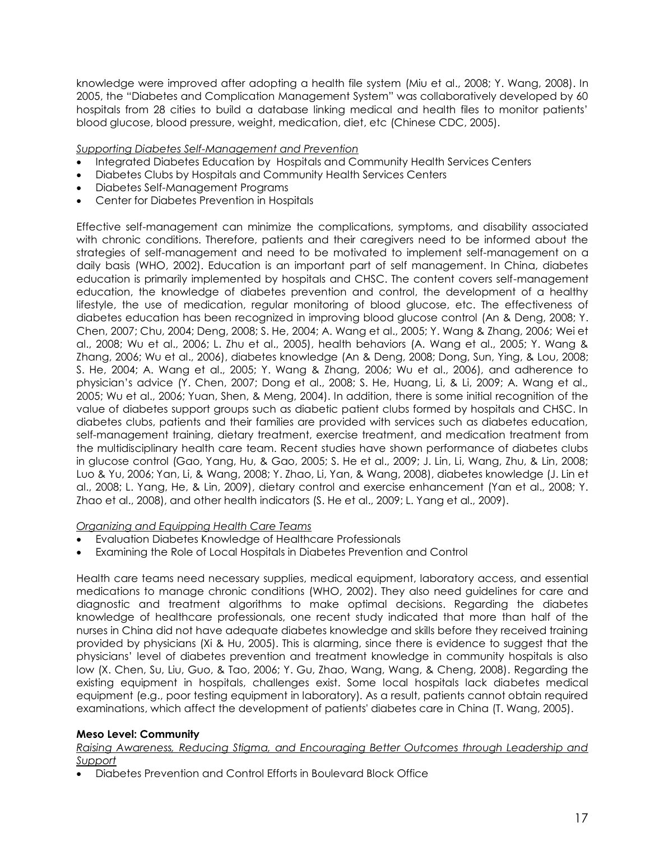knowledge were improved after adopting a health file system (Miu et al., 2008; Y. Wang, 2008). In 2005, the "Diabetes and Complication Management System" was collaboratively developed by 60 hospitals from 28 cities to build a database linking medical and health files to monitor patients' blood glucose, blood pressure, weight, medication, diet, etc (Chinese CDC, 2005).

*Supporting Diabetes Self-Management and Prevention*

- Integrated Diabetes Education by Hospitals and Community Health Services Centers
- Diabetes Clubs by Hospitals and Community Health Services Centers
- Diabetes Self-Management Programs
- Center for Diabetes Prevention in Hospitals

Effective self-management can minimize the complications, symptoms, and disability associated with chronic conditions. Therefore, patients and their caregivers need to be informed about the strategies of self-management and need to be motivated to implement self-management on a daily basis (WHO, 2002). Education is an important part of self management. In China, diabetes education is primarily implemented by hospitals and CHSC. The content covers self-management education, the knowledge of diabetes prevention and control, the development of a healthy lifestyle, the use of medication, regular monitoring of blood glucose, etc. The effectiveness of diabetes education has been recognized in improving blood glucose control (An & Deng, 2008; Y. Chen, 2007; Chu, 2004; Deng, 2008; S. He, 2004; A. Wang et al., 2005; Y. Wang & Zhang, 2006; Wei et al., 2008; Wu et al., 2006; L. Zhu et al., 2005), health behaviors (A. Wang et al., 2005; Y. Wang & Zhang, 2006; Wu et al., 2006), diabetes knowledge (An & Deng, 2008; Dong, Sun, Ying, & Lou, 2008; S. He, 2004; A. Wang et al., 2005; Y. Wang & Zhang, 2006; Wu et al., 2006), and adherence to physician's advice (Y. Chen, 2007; Dong et al., 2008; S. He, Huang, Li, & Li, 2009; A. Wang et al., 2005; Wu et al., 2006; Yuan, Shen, & Meng, 2004). In addition, there is some initial recognition of the value of diabetes support groups such as diabetic patient clubs formed by hospitals and CHSC. In diabetes clubs, patients and their families are provided with services such as diabetes education, self-management training, dietary treatment, exercise treatment, and medication treatment from the multidisciplinary health care team. Recent studies have shown performance of diabetes clubs in glucose control (Gao, Yang, Hu, & Gao, 2005; S. He et al., 2009; J. Lin, Li, Wang, Zhu, & Lin, 2008; Luo & Yu, 2006; Yan, Li, & Wang, 2008; Y. Zhao, Li, Yan, & Wang, 2008), diabetes knowledge (J. Lin et al., 2008; L. Yang, He, & Lin, 2009), dietary control and exercise enhancement (Yan et al., 2008; Y. Zhao et al., 2008), and other health indicators (S. He et al., 2009; L. Yang et al., 2009).

*Organizing and Equipping Health Care Teams*

- Evaluation Diabetes Knowledge of Healthcare Professionals
- Examining the Role of Local Hospitals in Diabetes Prevention and Control

Health care teams need necessary supplies, medical equipment, laboratory access, and essential medications to manage chronic conditions (WHO, 2002). They also need guidelines for care and diagnostic and treatment algorithms to make optimal decisions. Regarding the diabetes knowledge of healthcare professionals, one recent study indicated that more than half of the nurses in China did not have adequate diabetes knowledge and skills before they received training provided by physicians (Xi & Hu, 2005). This is alarming, since there is evidence to suggest that the physicians' level of diabetes prevention and treatment knowledge in community hospitals is also low (X. Chen, Su, Liu, Guo, & Tao, 2006; Y. Gu, Zhao, Wang, Wang, & Cheng, 2008). Regarding the existing equipment in hospitals, challenges exist. Some local hospitals lack diabetes medical equipment (e.g., poor testing equipment in laboratory). As a result, patients cannot obtain required examinations, which affect the development of patients' diabetes care in China (T. Wang, 2005).

## **Meso Level: Community**

*Raising Awareness, Reducing Stigma, and Encouraging Better Outcomes through Leadership and Support*

Diabetes Prevention and Control Efforts in Boulevard Block Office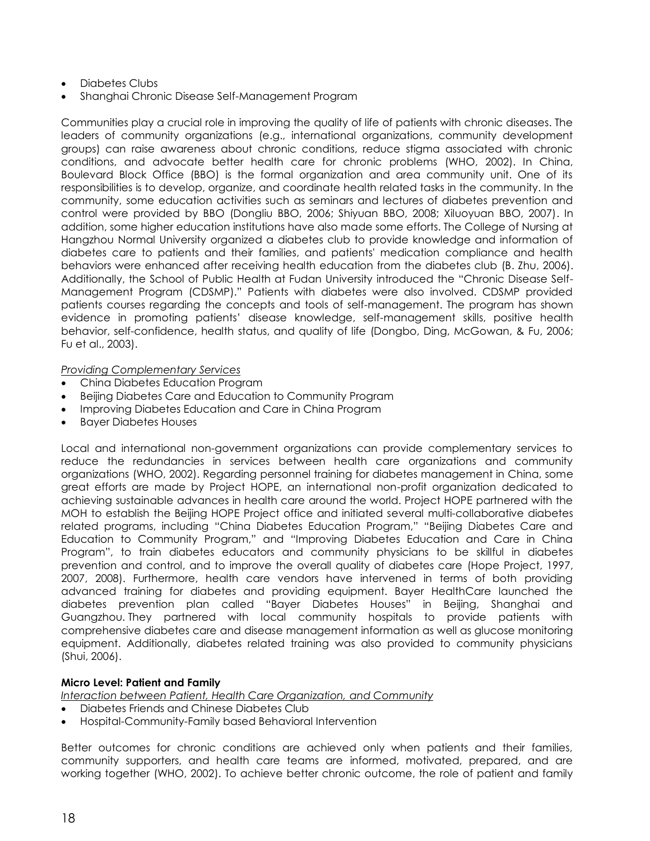- Diabetes Clubs
- Shanghai Chronic Disease Self-Management Program

Communities play a crucial role in improving the quality of life of patients with chronic diseases. The leaders of community organizations (e.g., international organizations, community development groups) can raise awareness about chronic conditions, reduce stigma associated with chronic conditions, and advocate better health care for chronic problems (WHO, 2002). In China, Boulevard Block Office (BBO) is the formal organization and area community unit. One of its responsibilities is to develop, organize, and coordinate health related tasks in the community. In the community, some education activities such as seminars and lectures of diabetes prevention and control were provided by BBO (Dongliu BBO, 2006; Shiyuan BBO, 2008; Xiluoyuan BBO, 2007). In addition, some higher education institutions have also made some efforts. The College of Nursing at Hangzhou Normal University organized a diabetes club to provide knowledge and information of diabetes care to patients and their families, and patients' medication compliance and health behaviors were enhanced after receiving health education from the diabetes club (B. Zhu, 2006). Additionally, the School of Public Health at Fudan University introduced the "Chronic Disease Self-Management Program (CDSMP)." Patients with diabetes were also involved. CDSMP provided patients courses regarding the concepts and tools of self-management. The program has shown evidence in promoting patients' disease knowledge, self-management skills, positive health behavior, self-confidence, health status, and quality of life (Dongbo, Ding, McGowan, & Fu, 2006; Fu et al., 2003).

*Providing Complementary Services*

- China Diabetes Education Program
- Beijing Diabetes Care and Education to Community Program
- Improving Diabetes Education and Care in China Program
- Bayer Diabetes Houses

Local and international non-government organizations can provide complementary services to reduce the redundancies in services between health care organizations and community organizations (WHO, 2002). Regarding personnel training for diabetes management in China, some great efforts are made by Project HOPE, an international non-profit organization dedicated to achieving sustainable advances in health care around the world. Project HOPE partnered with the MOH to establish the Beijing HOPE Project office and initiated several multi-collaborative diabetes related programs, including "China Diabetes Education Program," "Beijing Diabetes Care and Education to Community Program," and "Improving Diabetes Education and Care in China Program", to train diabetes educators and community physicians to be skillful in diabetes prevention and control, and to improve the overall quality of diabetes care (Hope Project, 1997, 2007, 2008). Furthermore, health care vendors have intervened in terms of both providing advanced training for diabetes and providing equipment. Bayer HealthCare launched the diabetes prevention plan called "Bayer Diabetes Houses" in Beijing, Shanghai and Guangzhou. They partnered with local community hospitals to provide patients with comprehensive diabetes care and disease management information as well as glucose monitoring equipment. Additionally, diabetes related training was also provided to community physicians (Shui, 2006).

## **Micro Level: Patient and Family**

*Interaction between Patient, Health Care Organization, and Community*

- Diabetes Friends and Chinese Diabetes Club
- Hospital-Community-Family based Behavioral Intervention

Better outcomes for chronic conditions are achieved only when patients and their families, community supporters, and health care teams are informed, motivated, prepared, and are working together (WHO, 2002). To achieve better chronic outcome, the role of patient and family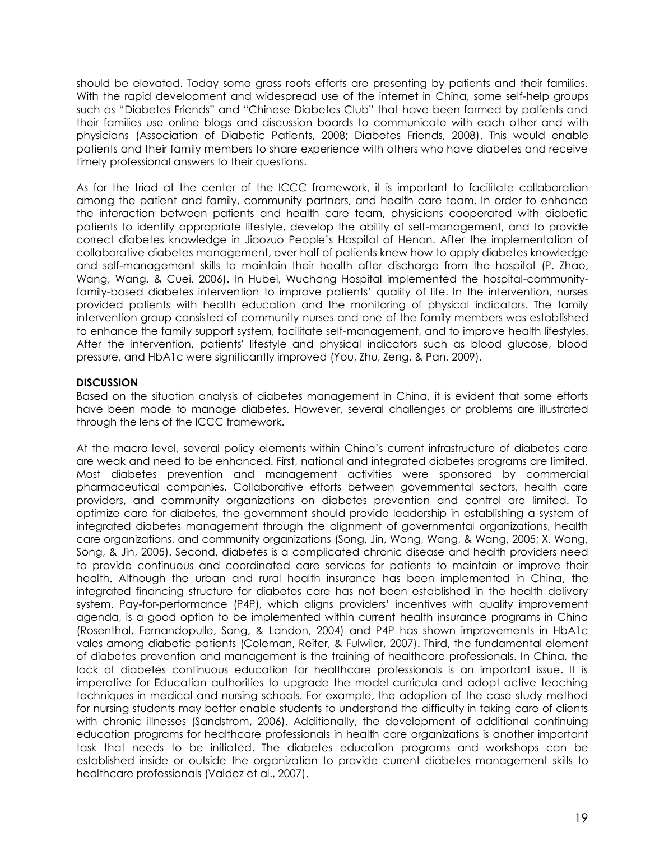should be elevated. Today some grass roots efforts are presenting by patients and their families. With the rapid development and widespread use of the internet in China, some self-help groups such as "Diabetes Friends" and "Chinese Diabetes Club" that have been formed by patients and their families use online blogs and discussion boards to communicate with each other and with physicians (Association of Diabetic Patients, 2008; Diabetes Friends, 2008). This would enable patients and their family members to share experience with others who have diabetes and receive timely professional answers to their questions.

As for the triad at the center of the ICCC framework, it is important to facilitate collaboration among the patient and family, community partners, and health care team. In order to enhance the interaction between patients and health care team, physicians cooperated with diabetic patients to identify appropriate lifestyle, develop the ability of self-management, and to provide correct diabetes knowledge in Jiaozuo People's Hospital of Henan. After the implementation of collaborative diabetes management, over half of patients knew how to apply diabetes knowledge and self-management skills to maintain their health after discharge from the hospital (P. Zhao, Wang, Wang, & Cuei, 2006). In Hubei, Wuchang Hospital implemented the hospital-communityfamily-based diabetes intervention to improve patients' quality of life. In the intervention, nurses provided patients with health education and the monitoring of physical indicators. The family intervention group consisted of community nurses and one of the family members was established to enhance the family support system, facilitate self-management, and to improve health lifestyles. After the intervention, patients' lifestyle and physical indicators such as blood glucose, blood pressure, and HbA1c were significantly improved (You, Zhu, Zeng, & Pan, 2009).

## **DISCUSSION**

Based on the situation analysis of diabetes management in China, it is evident that some efforts have been made to manage diabetes. However, several challenges or problems are illustrated through the lens of the ICCC framework.

At the macro level, several policy elements within China's current infrastructure of diabetes care are weak and need to be enhanced. First, national and integrated diabetes programs are limited. Most diabetes prevention and management activities were sponsored by commercial pharmaceutical companies. Collaborative efforts between governmental sectors, health care providers, and community organizations on diabetes prevention and control are limited. To optimize care for diabetes, the government should provide leadership in establishing a system of integrated diabetes management through the alignment of governmental organizations, health care organizations, and community organizations (Song, Jin, Wang, Wang, & Wang, 2005; X. Wang, Song, & Jin, 2005). Second, diabetes is a complicated chronic disease and health providers need to provide continuous and coordinated care services for patients to maintain or improve their health. Although the urban and rural health insurance has been implemented in China, the integrated financing structure for diabetes care has not been established in the health delivery system. Pay-for-performance (P4P), which aligns providers' incentives with quality improvement agenda, is a good option to be implemented within current health insurance programs in China (Rosenthal, Fernandopulle, Song, & Landon, 2004) and P4P has shown improvements in HbA1c vales among diabetic patients (Coleman, Reiter, & Fulwiler, 2007). Third, the fundamental element of diabetes prevention and management is the training of healthcare professionals. In China, the lack of diabetes continuous education for healthcare professionals is an important issue. It is imperative for Education authorities to upgrade the model curricula and adopt active teaching techniques in medical and nursing schools. For example, the adoption of the case study method for nursing students may better enable students to understand the difficulty in taking care of clients with chronic illnesses (Sandstrom, 2006). Additionally, the development of additional continuing education programs for healthcare professionals in health care organizations is another important task that needs to be initiated. The diabetes education programs and workshops can be established inside or outside the organization to provide current diabetes management skills to healthcare professionals (Valdez et al., 2007).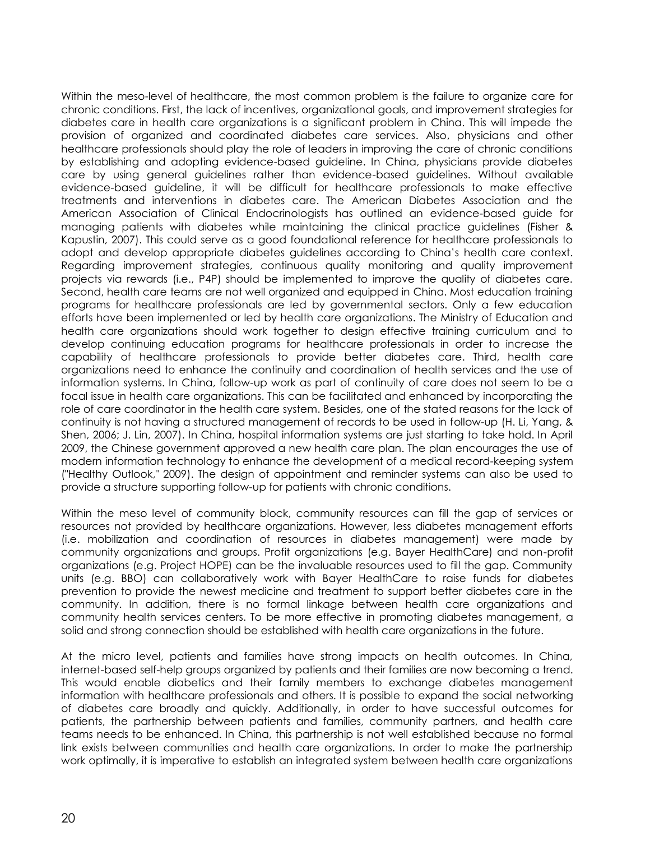Within the meso-level of healthcare, the most common problem is the failure to organize care for chronic conditions. First, the lack of incentives, organizational goals, and improvement strategies for diabetes care in health care organizations is a significant problem in China. This will impede the provision of organized and coordinated diabetes care services. Also, physicians and other healthcare professionals should play the role of leaders in improving the care of chronic conditions by establishing and adopting evidence-based guideline. In China, physicians provide diabetes care by using general guidelines rather than evidence-based guidelines. Without available evidence-based guideline, it will be difficult for healthcare professionals to make effective treatments and interventions in diabetes care. The American Diabetes Association and the American Association of Clinical Endocrinologists has outlined an evidence-based guide for managing patients with diabetes while maintaining the clinical practice guidelines (Fisher & Kapustin, 2007). This could serve as a good foundational reference for healthcare professionals to adopt and develop appropriate diabetes guidelines according to China's health care context. Regarding improvement strategies, continuous quality monitoring and quality improvement projects via rewards (i.e., P4P) should be implemented to improve the quality of diabetes care. Second, health care teams are not well organized and equipped in China. Most education training programs for healthcare professionals are led by governmental sectors. Only a few education efforts have been implemented or led by health care organizations. The Ministry of Education and health care organizations should work together to design effective training curriculum and to develop continuing education programs for healthcare professionals in order to increase the capability of healthcare professionals to provide better diabetes care. Third, health care organizations need to enhance the continuity and coordination of health services and the use of information systems. In China, follow-up work as part of continuity of care does not seem to be a focal issue in health care organizations. This can be facilitated and enhanced by incorporating the role of care coordinator in the health care system. Besides, one of the stated reasons for the lack of continuity is not having a structured management of records to be used in follow-up (H. Li, Yang, & Shen, 2006; J. Lin, 2007). In China, hospital information systems are just starting to take hold. In April 2009, the Chinese government approved a new health care plan. The plan encourages the use of modern information technology to enhance the development of a medical record-keeping system ("Healthy Outlook," 2009). The design of appointment and reminder systems can also be used to provide a structure supporting follow-up for patients with chronic conditions.

Within the meso level of community block, community resources can fill the gap of services or resources not provided by healthcare organizations. However, less diabetes management efforts (i.e. mobilization and coordination of resources in diabetes management) were made by community organizations and groups. Profit organizations (e.g. Bayer HealthCare) and non-profit organizations (e.g. Project HOPE) can be the invaluable resources used to fill the gap. Community units (e.g. BBO) can collaboratively work with Bayer HealthCare to raise funds for diabetes prevention to provide the newest medicine and treatment to support better diabetes care in the community. In addition, there is no formal linkage between health care organizations and community health services centers. To be more effective in promoting diabetes management, a solid and strong connection should be established with health care organizations in the future.

At the micro level, patients and families have strong impacts on health outcomes. In China, internet-based self-help groups organized by patients and their families are now becoming a trend. This would enable diabetics and their family members to exchange diabetes management information with healthcare professionals and others. It is possible to expand the social networking of diabetes care broadly and quickly. Additionally, in order to have successful outcomes for patients, the partnership between patients and families, community partners, and health care teams needs to be enhanced. In China, this partnership is not well established because no formal link exists between communities and health care organizations. In order to make the partnership work optimally, it is imperative to establish an integrated system between health care organizations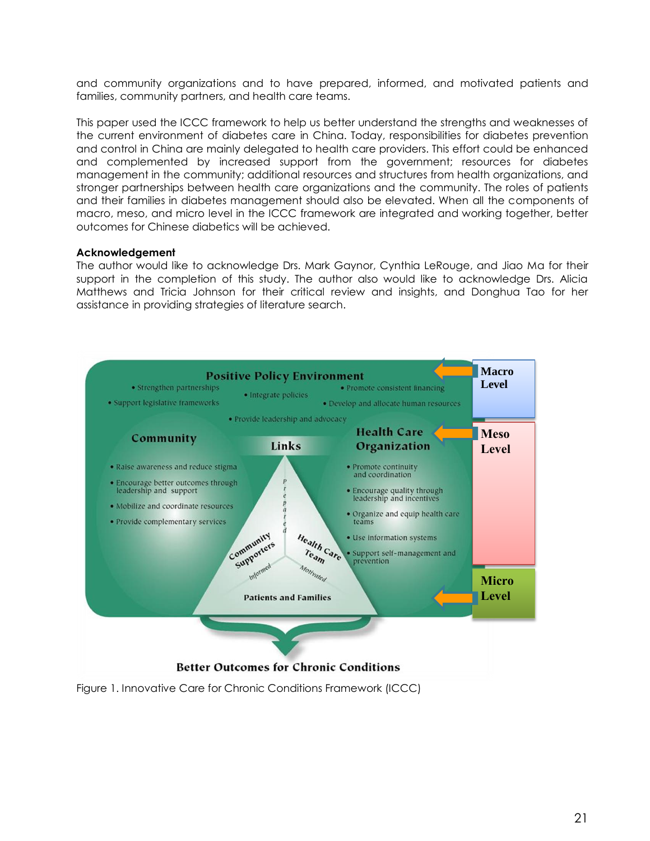and community organizations and to have prepared, informed, and motivated patients and families, community partners, and health care teams.

This paper used the ICCC framework to help us better understand the strengths and weaknesses of the current environment of diabetes care in China. Today, responsibilities for diabetes prevention and control in China are mainly delegated to health care providers. This effort could be enhanced and complemented by increased support from the government; resources for diabetes management in the community; additional resources and structures from health organizations, and stronger partnerships between health care organizations and the community. The roles of patients and their families in diabetes management should also be elevated. When all the components of macro, meso, and micro level in the ICCC framework are integrated and working together, better outcomes for Chinese diabetics will be achieved.

#### **Acknowledgement**

The author would like to acknowledge Drs. Mark Gaynor, Cynthia LeRouge, and Jiao Ma for their support in the completion of this study. The author also would like to acknowledge Drs. Alicia Matthews and Tricia Johnson for their critical review and insights, and Donghua Tao for her assistance in providing strategies of literature search.



Figure 1. Innovative Care for Chronic Conditions Framework (ICCC)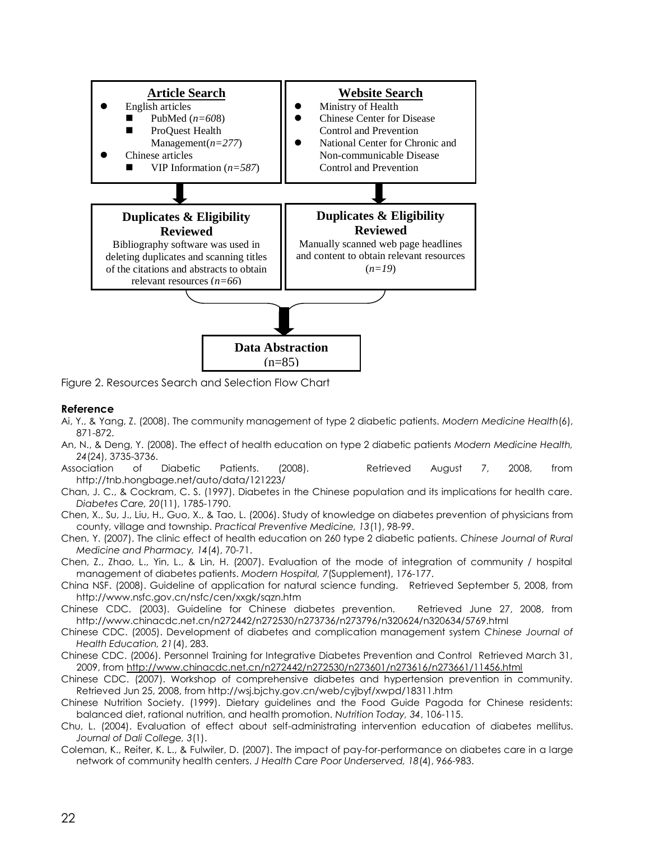

Figure 2. Resources Search and Selection Flow Chart

#### **Reference**

- Ai, Y., & Yang, Z. (2008). The community management of type 2 diabetic patients. *Modern Medicine Health*(6), 871-872.
- An, N., & Deng, Y. (2008). The effect of health education on type 2 diabetic patients *Modern Medicine Health, 24*(24), 3735-3736.
- Association of Diabetic Patients. (2008). Retrieved August 7, 2008, from http://tnb.hongbage.net/auto/data/121223/
- Chan, J. C., & Cockram, C. S. (1997). Diabetes in the Chinese population and its implications for health care. *Diabetes Care, 20*(11), 1785-1790.
- Chen, X., Su, J., Liu, H., Guo, X., & Tao, L. (2006). Study of knowledge on diabetes prevention of physicians from county, village and township. *Practical Preventive Medicine, 13*(1), 98-99.

Chen, Y. (2007). The clinic effect of health education on 260 type 2 diabetic patients. *Chinese Journal of Rural Medicine and Pharmacy, 14*(4), 70-71.

Chen, Z., Zhao, L., Yin, L., & Lin, H. (2007). Evaluation of the mode of integration of community / hospital management of diabetes patients. *Modern Hospital, 7*(Supplement), 176-177.

- China NSF. (2008). Guideline of application for natural science funding. Retrieved September 5, 2008, from http://www.nsfc.gov.cn/nsfc/cen/xxgk/sqzn.htm
- Chinese CDC. (2003). Guideline for Chinese diabetes prevention. Retrieved June 27, 2008, from http://www.chinacdc.net.cn/n272442/n272530/n273736/n273796/n320624/n320634/5769.html
- Chinese CDC. (2005). Development of diabetes and complication management system *Chinese Journal of Health Education, 21*(4), 283.
- Chinese CDC. (2006). Personnel Training for Integrative Diabetes Prevention and Control Retrieved March 31, 2009, from http://www.chinacdc.net.cn/n272442/n272530/n273601/n273616/n273661/11456.html
- Chinese CDC. (2007). Workshop of comprehensive diabetes and hypertension prevention in community. Retrieved Jun 25, 2008, from http://wsj.bjchy.gov.cn/web/cyjbyf/xwpd/18311.htm
- Chinese Nutrition Society. (1999). Dietary guidelines and the Food Guide Pagoda for Chinese residents: balanced diet, rational nutrition, and health promotion. *Nutrition Today, 34*, 106-115.
- Chu, L. (2004). Evaluation of effect about self-administrating intervention education of diabetes mellitus. *Journal of Dali College, 3*(1).
- Coleman, K., Reiter, K. L., & Fulwiler, D. (2007). The impact of pay-for-performance on diabetes care in a large network of community health centers. *J Health Care Poor Underserved, 18*(4), 966-983.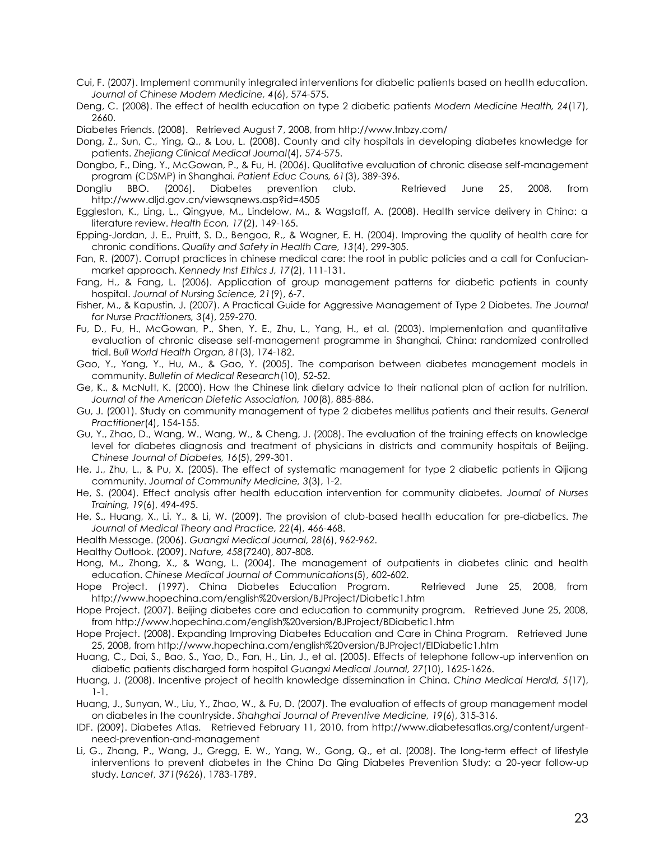- Cui, F. (2007). Implement community integrated interventions for diabetic patients based on health education. *Journal of Chinese Modern Medicine, 4*(6), 574-575.
- Deng, C. (2008). The effect of health education on type 2 diabetic patients *Modern Medicine Health, 24*(17), 2660.
- Diabetes Friends. (2008). Retrieved August 7, 2008, from http://www.tnbzy.com/

Dong, Z., Sun, C., Ying, Q., & Lou, L. (2008). County and city hospitals in developing diabetes knowledge for patients. *Zhejiang Clinical Medical Journal*(4), 574-575.

- Dongbo, F., Ding, Y., McGowan, P., & Fu, H. (2006). Qualitative evaluation of chronic disease self-management program (CDSMP) in Shanghai. *Patient Educ Couns, 61*(3), 389-396.
- Dongliu BBO. (2006). Diabetes prevention club. Retrieved June 25, 2008, from http://www.dljd.gov.cn/viewsqnews.asp?id=4505
- Eggleston, K., Ling, L., Qingyue, M., Lindelow, M., & Wagstaff, A. (2008). Health service delivery in China: a literature review. *Health Econ, 17*(2), 149-165.
- Epping-Jordan, J. E., Pruitt, S. D., Bengoa, R., & Wagner, E. H. (2004). Improving the quality of health care for chronic conditions. *Quality and Safety in Health Care, 13*(4), 299-305.
- Fan, R. (2007). Corrupt practices in chinese medical care: the root in public policies and a call for Confucianmarket approach. *Kennedy Inst Ethics J, 17*(2), 111-131.
- Fang, H., & Fang, L. (2006). Application of group management patterns for diabetic patients in county hospital. *Journal of Nursing Science, 21*(9), 6-7.
- Fisher, M., & Kapustin, J. (2007). A Practical Guide for Aggressive Management of Type 2 Diabetes. *The Journal for Nurse Practitioners, 3*(4), 259-270.
- Fu, D., Fu, H., McGowan, P., Shen, Y. E., Zhu, L., Yang, H., et al. (2003). Implementation and quantitative evaluation of chronic disease self-management programme in Shanghai, China: randomized controlled trial. *Bull World Health Organ, 81*(3), 174-182.
- Gao, Y., Yang, Y., Hu, M., & Gao, Y. (2005). The comparison between diabetes management models in community. *Bulletin of Medical Research*(10), 52-52.
- Ge, K., & McNutt, K. (2000). How the Chinese link dietary advice to their national plan of action for nutrition. *Journal of the American Dietetic Association, 100*(8), 885-886.
- Gu, J. (2001). Study on community management of type 2 diabetes mellitus patients and their results. *General Practitioner*(4), 154-155.
- Gu, Y., Zhao, D., Wang, W., Wang, W., & Cheng, J. (2008). The evaluation of the training effects on knowledge level for diabetes diagnosis and treatment of physicians in districts and community hospitals of Beijing. *Chinese Journal of Diabetes, 16*(5), 299-301.
- He, J., Zhu, L., & Pu, X. (2005). The effect of systematic management for type 2 diabetic patients in Qijiang community. *Journal of Community Medicine, 3*(3), 1-2.
- He, S. (2004). Effect analysis after health education intervention for community diabetes. *Journal of Nurses Training, 19*(6), 494-495.
- He, S., Huang, X., Li, Y., & Li, W. (2009). The provision of club-based health education for pre-diabetics. *The Journal of Medical Theory and Practice, 22*(4), 466-468.
- Health Message. (2006). *Guangxi Medical Journal, 28*(6), 962-962.
- Healthy Outlook. (2009). *Nature, 458*(7240), 807-808.
- Hong, M., Zhong, X., & Wang, L. (2004). The management of outpatients in diabetes clinic and health education. *Chinese Medical Journal of Communications*(5), 602-602.
- Hope Project. (1997). China Diabetes Education Program. Retrieved June 25, 2008, from http://www.hopechina.com/english%20version/BJProject/Diabetic1.htm
- Hope Project. (2007). Beijing diabetes care and education to community program. Retrieved June 25, 2008, from http://www.hopechina.com/english%20version/BJProject/BDiabetic1.htm
- Hope Project. (2008). Expanding Improving Diabetes Education and Care in China Program. Retrieved June 25, 2008, from http://www.hopechina.com/english%20version/BJProject/EIDiabetic1.htm
- Huang, C., Dai, S., Bao, S., Yao, D., Fan, H., Lin, J., et al. (2005). Effects of telephone follow-up intervention on diabetic patients discharged form hospital *Guangxi Medical Journal, 27*(10), 1625-1626.
- Huang, J. (2008). Incentive project of health knowledge dissemination in China. *China Medical Herald, 5*(17), 1-1.
- Huang, J., Sunyan, W., Liu, Y., Zhao, W., & Fu, D. (2007). The evaluation of effects of group management model on diabetes in the countryside. *Shahghai Journal of Preventive Medicine, 19*(6), 315-316.
- IDF. (2009). Diabetes Atlas. Retrieved February 11, 2010, from http://www.diabetesatlas.org/content/urgentneed-prevention-and-management
- Li, G., Zhang, P., Wang, J., Gregg, E. W., Yang, W., Gong, Q., et al. (2008). The long-term effect of lifestyle interventions to prevent diabetes in the China Da Qing Diabetes Prevention Study: a 20-year follow-up study. *Lancet, 371*(9626), 1783-1789.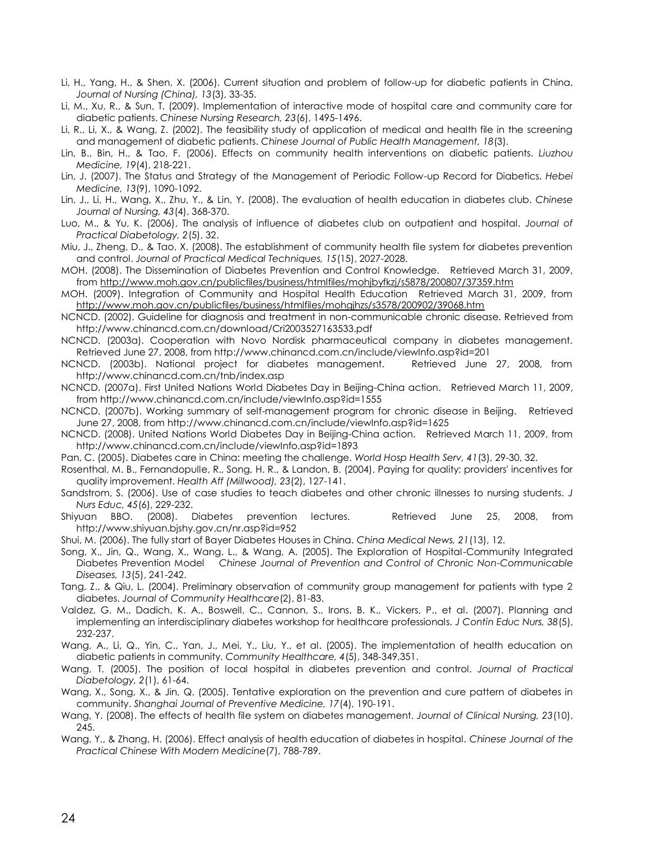- Li, H., Yang, H., & Shen, X. (2006). Current situation and problem of follow-up for diabetic patients in China. *Journal of Nursing (China), 13*(3), 33-35.
- Li, M., Xu, R., & Sun, T. (2009). Implementation of interactive mode of hospital care and community care for diabetic patients. *Chinese Nursing Research, 23*(6), 1495-1496.
- Li, R., Li, X., & Wang, Z. (2002). The feasibility study of application of medical and health file in the screening and management of diabetic patients. *Chinese Journal of Public Health Management, 18*(3).
- Lin, B., Bin, H., & Tao, F. (2006). Effects on community health interventions on diabetic patients. *Liuzhou Medicine, 19*(4), 218-221.
- Lin, J. (2007). The Status and Strategy of the Management of Periodic Follow-up Record for Diabetics. *Hebei Medicine, 13*(9), 1090-1092.
- Lin, J., Li, H., Wang, X., Zhu, Y., & Lin, Y. (2008). The evaluation of health education in diabetes club. *Chinese Journal of Nursing, 43*(4), 368-370.
- Luo, M., & Yu, K. (2006). The analysis of influence of diabetes club on outpatient and hospital. *Journal of Practical Diabetology, 2*(5), 32.

Miu, J., Zheng, D., & Tao, X. (2008). The establishment of community health file system for diabetes prevention and control. *Journal of Practical Medical Techniques, 15*(15), 2027-2028.

MOH. (2008). The Dissemination of Diabetes Prevention and Control Knowledge. Retrieved March 31, 2009, from http://www.moh.gov.cn/publicfiles/business/htmlfiles/mohjbyfkzj/s5878/200807/37359.htm

MOH. (2009). Integration of Community and Hospital Health Education Retrieved March 31, 2009, from http://www.moh.gov.cn/publicfiles/business/htmlfiles/mohgjhzs/s3578/200902/39068.htm

NCNCD. (2002). Guideline for diagnosis and treatment in non-communicable chronic disease. Retrieved from http://www.chinancd.com.cn/download/Cri2003527163533.pdf

NCNCD. (2003a). Cooperation with Novo Nordisk pharmaceutical company in diabetes management. Retrieved June 27, 2008, from http://www.chinancd.com.cn/include/viewInfo.asp?id=201

NCNCD. (2003b). National project for diabetes management. Retrieved June 27, 2008, from http://www.chinancd.com.cn/tnb/index.asp

- NCNCD. (2007a). First United Nations World Diabetes Day in Beijing-China action. Retrieved March 11, 2009, from http://www.chinancd.com.cn/include/viewInfo.asp?id=1555
- NCNCD. (2007b). Working summary of self-management program for chronic disease in Beijing. Retrieved June 27, 2008, from http://www.chinancd.com.cn/include/viewInfo.asp?id=1625
- NCNCD. (2008). United Nations World Diabetes Day in Beijing-China action. Retrieved March 11, 2009, from http://www.chinancd.com.cn/include/viewInfo.asp?id=1893
- Pan, C. (2005). Diabetes care in China: meeting the challenge. *World Hosp Health Serv, 41*(3), 29-30, 32.
- Rosenthal, M. B., Fernandopulle, R., Song, H. R., & Landon, B. (2004). Paying for quality: providers' incentives for quality improvement. *Health Aff (Millwood), 23*(2), 127-141.
- Sandstrom, S. (2006). Use of case studies to teach diabetes and other chronic illnesses to nursing students. *J Nurs Educ, 45*(6), 229-232.
- Shiyuan BBO. (2008). Diabetes prevention lectures. Retrieved June 25, 2008, from http://www.shiyuan.bjshy.gov.cn/nr.asp?id=952

Shui, M. (2006). The fully start of Bayer Diabetes Houses in China. *China Medical News, 21*(13), 12.

Song, X., Jin, Q., Wang, X., Wang, L., & Wang, A. (2005). The Exploration of Hospital-Community Integrated Diabetes Prevention Model *Chinese Journal of Prevention and Control of Chronic Non-Communicable Diseases, 13*(5), 241-242.

Tang, Z., & Qiu, L. (2004). Preliminary observation of community group management for patients with type 2 diabetes. *Journal of Community Healthcare*(2), 81-83.

Valdez, G. M., Dadich, K. A., Boswell, C., Cannon, S., Irons, B. K., Vickers, P., et al. (2007). Planning and implementing an interdisciplinary diabetes workshop for healthcare professionals. *J Contin Educ Nurs, 38*(5), 232-237.

Wang, A., Li, Q., Yin, C., Yan, J., Mei, Y., Liu, Y., et al. (2005). The implementation of health education on diabetic patients in community. *Community Healthcare, 4*(5), 348-349,351.

Wang, T. (2005). The position of local hospital in diabetes prevention and control. *Journal of Practical Diabetology, 2*(1), 61-64.

Wang, X., Song, X., & Jin, Q. (2005). Tentative exploration on the prevention and cure pattern of diabetes in community. *Shanghai Journal of Preventive Medicine, 17*(4), 190-191.

Wang, Y. (2008). The effects of health file system on diabetes management. *Journal of Clinical Nursing, 23*(10), 245.

Wang, Y., & Zhang, H. (2006). Effect analysis of health education of diabetes in hospital. *Chinese Journal of the Practical Chinese With Modern Medicine*(7), 788-789.